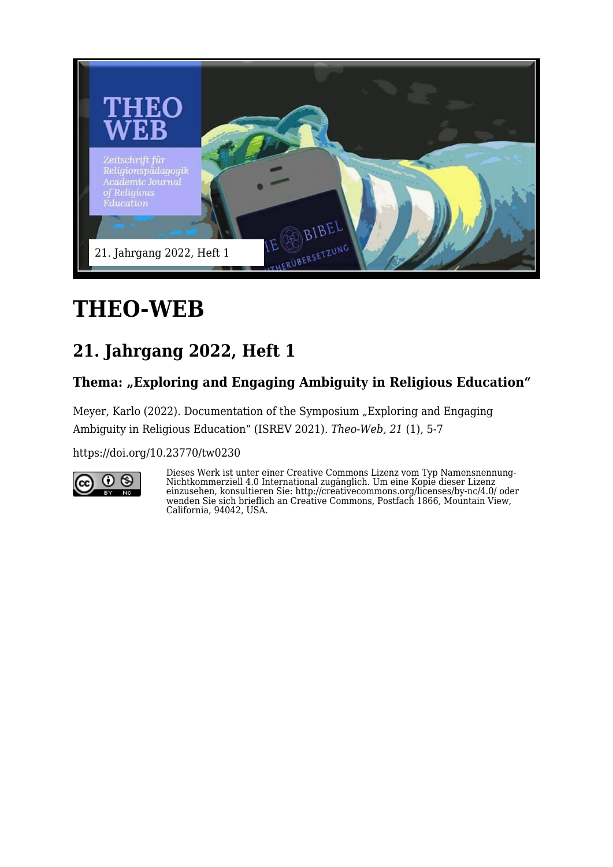

# **THEO-WEB**

## **21. Jahrgang 2022, Heft 1**

### Thema: "Exploring and Engaging Ambiguity in Religious Education"

Meyer, Karlo (2022). Documentation of the Symposium "Exploring and Engaging Ambiguity in Religious Education" (ISREV 2021). *Theo-Web, 21* (1), 5-7

<https://doi.org/10.23770/tw0230>



Dieses Werk ist unter einer Creative Commons Lizenz vom Typ Namensnennung-Nichtkommerziell 4.0 International zugänglich. Um eine Kopie dieser Lizenz einzusehen, konsultieren Sie: http://creativecommons.org/licenses/by-nc/4.0/ oder wenden Sie sich brieflich an Creative Commons, Postfach 1866, Mountain View, California, 94042, USA.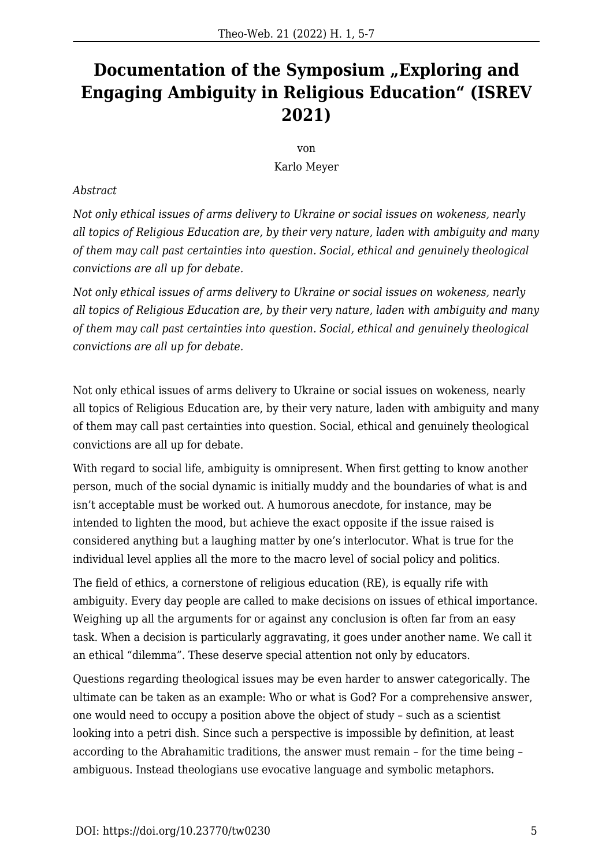### **Documentation of the Symposium "Exploring and Engaging Ambiguity in Religious Education" (ISREV 2021)**

#### von Karlo Meyer

#### *Abstract*

*Not only ethical issues of arms delivery to Ukraine or social issues on wokeness, nearly all topics of Religious Education are, by their very nature, laden with ambiguity and many of them may call past certainties into question. Social, ethical and genuinely theological convictions are all up for debate.*

*Not only ethical issues of arms delivery to Ukraine or social issues on wokeness, nearly all topics of Religious Education are, by their very nature, laden with ambiguity and many of them may call past certainties into question. Social, ethical and genuinely theological convictions are all up for debate.*

Not only ethical issues of arms delivery to Ukraine or social issues on wokeness, nearly all topics of Religious Education are, by their very nature, laden with ambiguity and many of them may call past certainties into question. Social, ethical and genuinely theological convictions are all up for debate.

With regard to social life, ambiguity is omnipresent. When first getting to know another person, much of the social dynamic is initially muddy and the boundaries of what is and isn't acceptable must be worked out. A humorous anecdote, for instance, may be intended to lighten the mood, but achieve the exact opposite if the issue raised is considered anything but a laughing matter by one's interlocutor. What is true for the individual level applies all the more to the macro level of social policy and politics.

The field of ethics, a cornerstone of religious education (RE), is equally rife with ambiguity. Every day people are called to make decisions on issues of ethical importance. Weighing up all the arguments for or against any conclusion is often far from an easy task. When a decision is particularly aggravating, it goes under another name. We call it an ethical "dilemma". These deserve special attention not only by educators.

Questions regarding theological issues may be even harder to answer categorically. The ultimate can be taken as an example: Who or what is God? For a comprehensive answer, one would need to occupy a position above the object of study – such as a scientist looking into a petri dish. Since such a perspective is impossible by definition, at least according to the Abrahamitic traditions, the answer must remain – for the time being – ambiguous. Instead theologians use evocative language and symbolic metaphors.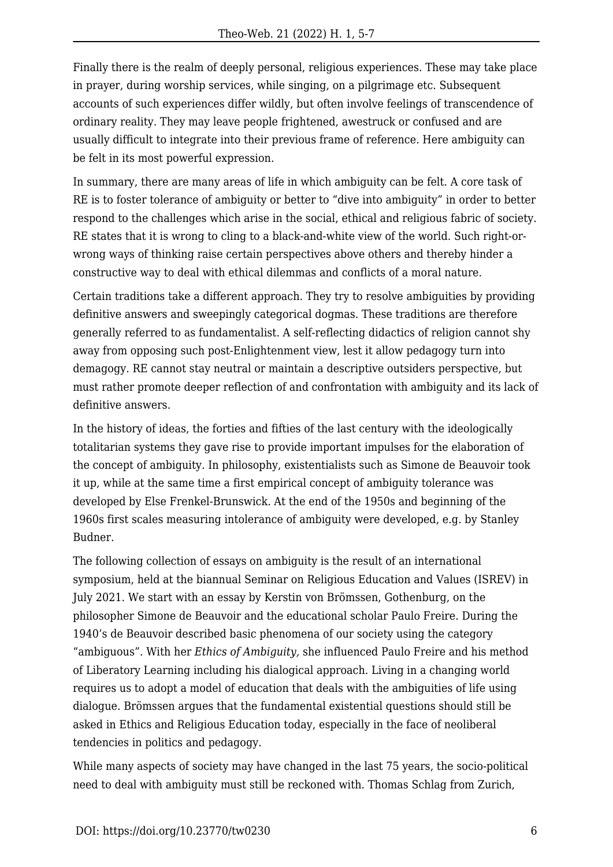Finally there is the realm of deeply personal, religious experiences. These may take place in prayer, during worship services, while singing, on a pilgrimage etc. Subsequent accounts of such experiences differ wildly, but often involve feelings of transcendence of ordinary reality. They may leave people frightened, awestruck or confused and are usually difficult to integrate into their previous frame of reference. Here ambiguity can be felt in its most powerful expression.

In summary, there are many areas of life in which ambiguity can be felt. A core task of RE is to foster tolerance of ambiguity or better to "dive into ambiguity" in order to better respond to the challenges which arise in the social, ethical and religious fabric of society. RE states that it is wrong to cling to a black-and-white view of the world. Such right-orwrong ways of thinking raise certain perspectives above others and thereby hinder a constructive way to deal with ethical dilemmas and conflicts of a moral nature.

Certain traditions take a different approach. They try to resolve ambiguities by providing definitive answers and sweepingly categorical dogmas. These traditions are therefore generally referred to as fundamentalist. A self-reflecting didactics of religion cannot shy away from opposing such post-Enlightenment view, lest it allow pedagogy turn into demagogy. RE cannot stay neutral or maintain a descriptive outsiders perspective, but must rather promote deeper reflection of and confrontation with ambiguity and its lack of definitive answers.

In the history of ideas, the forties and fifties of the last century with the ideologically totalitarian systems they gave rise to provide important impulses for the elaboration of the concept of ambiguity. In philosophy, existentialists such as Simone de Beauvoir took it up, while at the same time a first empirical concept of ambiguity tolerance was developed by Else Frenkel-Brunswick. At the end of the 1950s and beginning of the 1960s first scales measuring intolerance of ambiguity were developed, e.g. by Stanley Budner.

The following collection of essays on ambiguity is the result of an international symposium, held at the biannual Seminar on Religious Education and Values (ISREV) in July 2021. We start with an essay by Kerstin von Brömssen, Gothenburg, on the philosopher Simone de Beauvoir and the educational scholar Paulo Freire. During the 1940's de Beauvoir described basic phenomena of our society using the category "ambiguous". With her *Ethics of Ambiguity,* she influenced Paulo Freire and his method of Liberatory Learning including his dialogical approach. Living in a changing world requires us to adopt a model of education that deals with the ambiguities of life using dialogue. Brömssen argues that the fundamental existential questions should still be asked in Ethics and Religious Education today, especially in the face of neoliberal tendencies in politics and pedagogy.

While many aspects of society may have changed in the last 75 years, the socio-political need to deal with ambiguity must still be reckoned with. Thomas Schlag from Zurich,